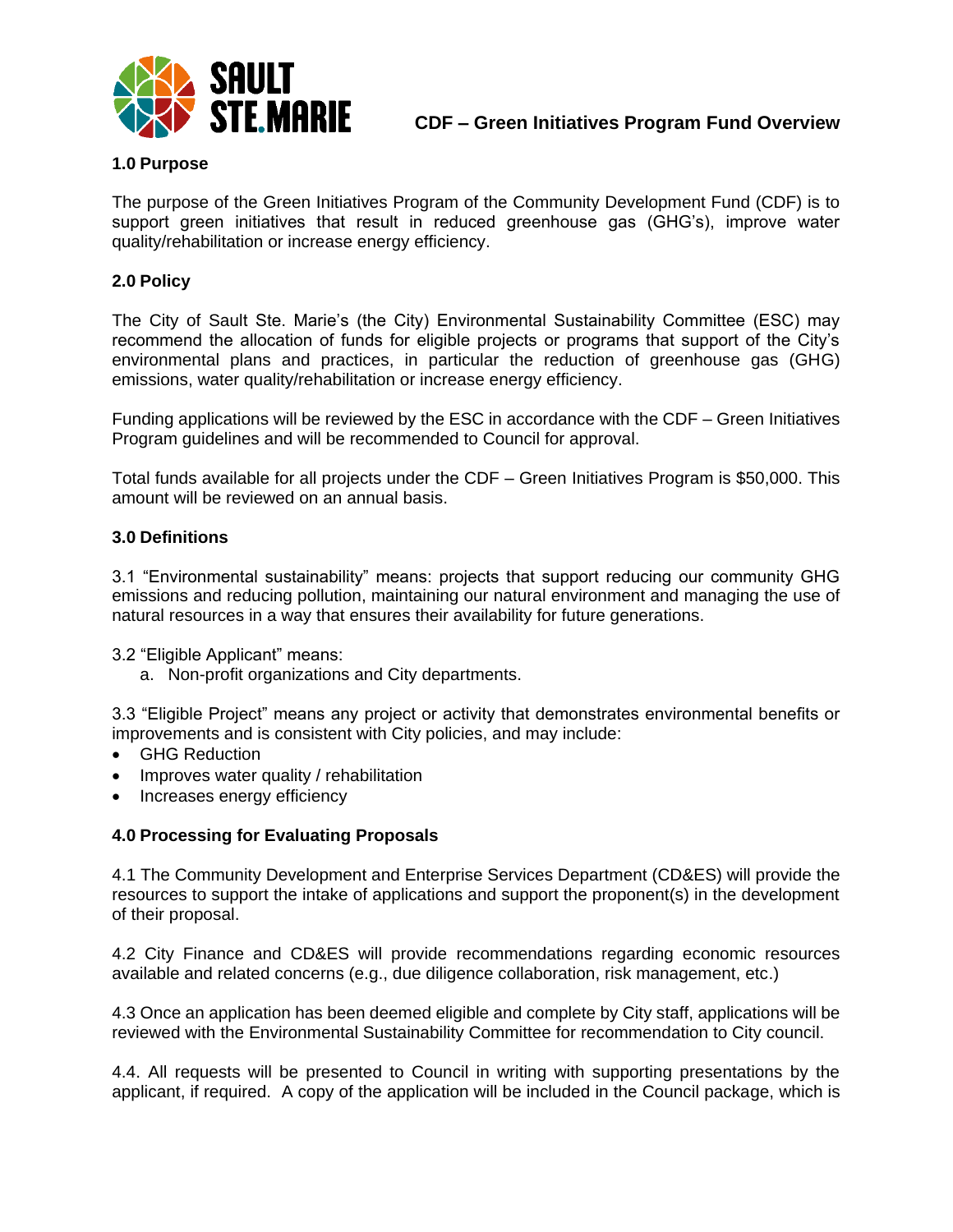

# **1.0 Purpose**

The purpose of the Green Initiatives Program of the Community Development Fund (CDF) is to support green initiatives that result in reduced greenhouse gas (GHG's), improve water quality/rehabilitation or increase energy efficiency.

# **2.0 Policy**

The City of Sault Ste. Marie's (the City) Environmental Sustainability Committee (ESC) may recommend the allocation of funds for eligible projects or programs that support of the City's environmental plans and practices, in particular the reduction of greenhouse gas (GHG) emissions, water quality/rehabilitation or increase energy efficiency.

Funding applications will be reviewed by the ESC in accordance with the CDF – Green Initiatives Program guidelines and will be recommended to Council for approval.

Total funds available for all projects under the CDF – Green Initiatives Program is \$50,000. This amount will be reviewed on an annual basis.

#### **3.0 Definitions**

3.1 "Environmental sustainability" means: projects that support reducing our community GHG emissions and reducing pollution, maintaining our natural environment and managing the use of natural resources in a way that ensures their availability for future generations.

3.2 "Eligible Applicant" means:

a. Non-profit organizations and City departments.

3.3 "Eligible Project" means any project or activity that demonstrates environmental benefits or improvements and is consistent with City policies, and may include:

- GHG Reduction
- Improves water quality / rehabilitation
- Increases energy efficiency

#### **4.0 Processing for Evaluating Proposals**

4.1 The Community Development and Enterprise Services Department (CD&ES) will provide the resources to support the intake of applications and support the proponent(s) in the development of their proposal.

4.2 City Finance and CD&ES will provide recommendations regarding economic resources available and related concerns (e.g., due diligence collaboration, risk management, etc.)

4.3 Once an application has been deemed eligible and complete by City staff, applications will be reviewed with the Environmental Sustainability Committee for recommendation to City council.

4.4. All requests will be presented to Council in writing with supporting presentations by the applicant, if required. A copy of the application will be included in the Council package, which is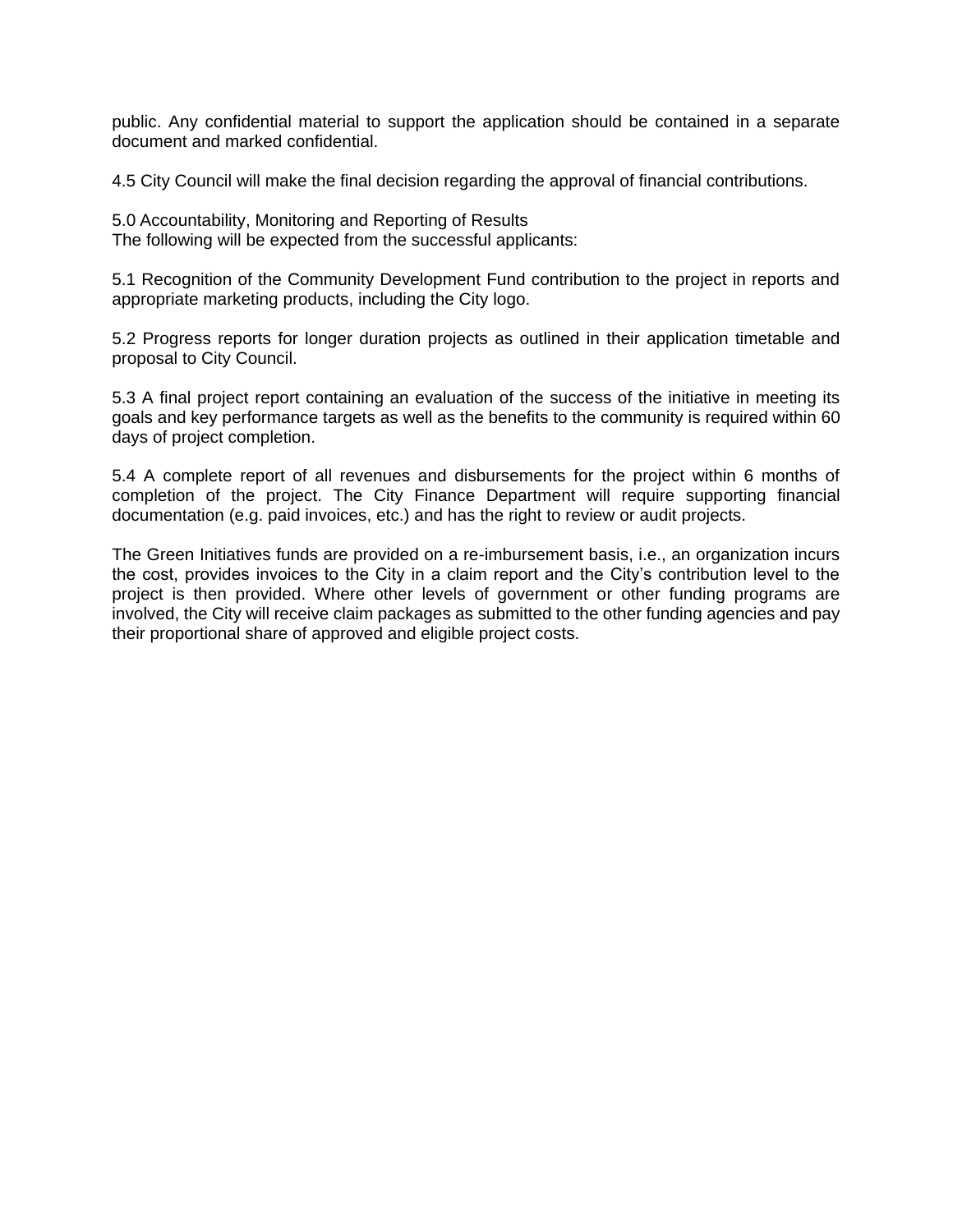public. Any confidential material to support the application should be contained in a separate document and marked confidential.

4.5 City Council will make the final decision regarding the approval of financial contributions.

5.0 Accountability, Monitoring and Reporting of Results The following will be expected from the successful applicants:

5.1 Recognition of the Community Development Fund contribution to the project in reports and appropriate marketing products, including the City logo.

5.2 Progress reports for longer duration projects as outlined in their application timetable and proposal to City Council.

5.3 A final project report containing an evaluation of the success of the initiative in meeting its goals and key performance targets as well as the benefits to the community is required within 60 days of project completion.

5.4 A complete report of all revenues and disbursements for the project within 6 months of completion of the project. The City Finance Department will require supporting financial documentation (e.g. paid invoices, etc.) and has the right to review or audit projects.

The Green Initiatives funds are provided on a re-imbursement basis, i.e., an organization incurs the cost, provides invoices to the City in a claim report and the City's contribution level to the project is then provided. Where other levels of government or other funding programs are involved, the City will receive claim packages as submitted to the other funding agencies and pay their proportional share of approved and eligible project costs.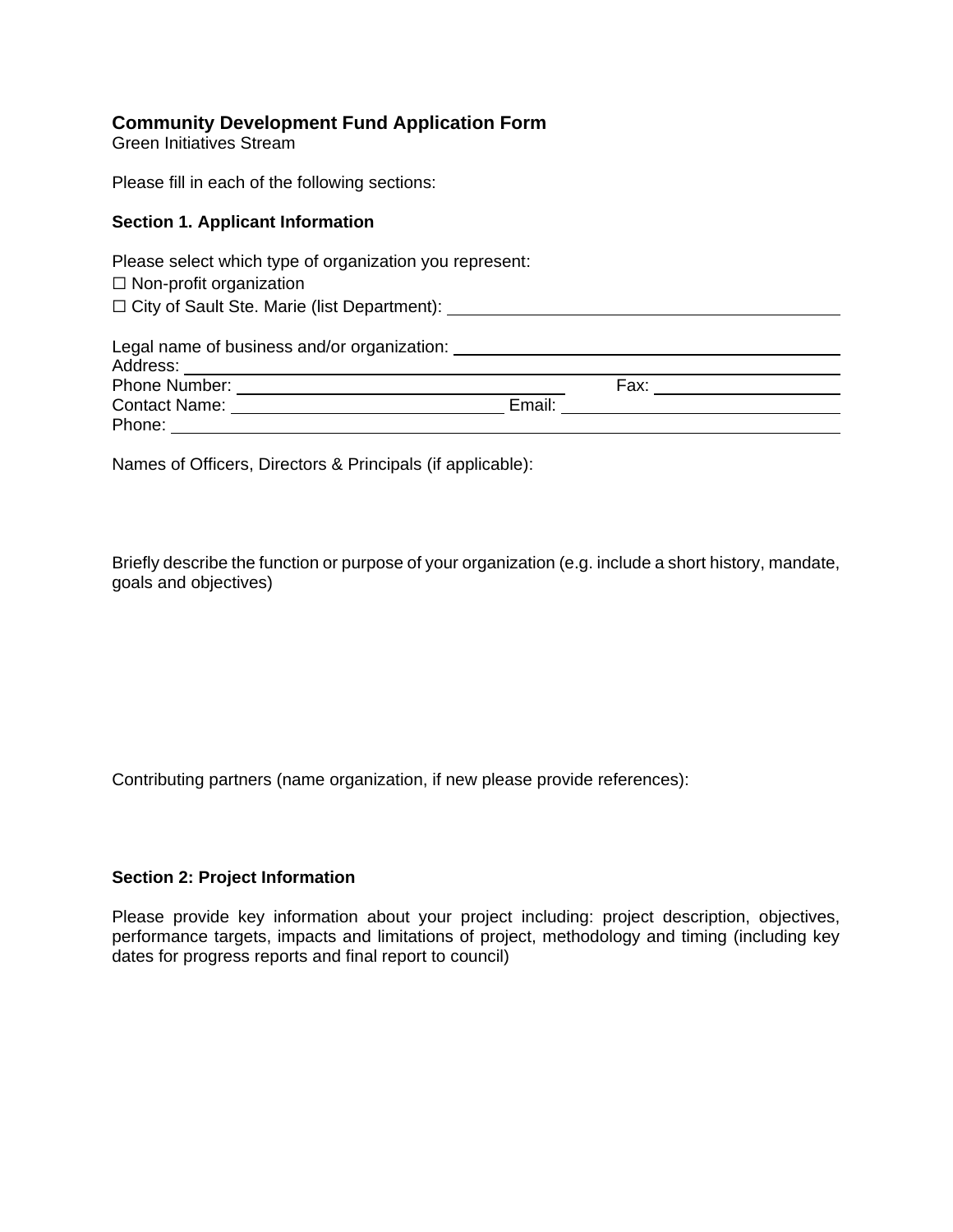# **Community Development Fund Application Form**

Green Initiatives Stream

Please fill in each of the following sections:

#### **Section 1. Applicant Information**

Please select which type of organization you represent: □ Non-profit organization ☐ City of Sault Ste. Marie (list Department): Legal name of business and/or organization: Address: Phone Number: Fax: Fax: Contact Name: Email: Phone: The contract of the contract of the contract of the contract of the contract of the contract of the contract of the contract of the contract of the contract of the contract of the contract of the contract of the con

Names of Officers, Directors & Principals (if applicable):

Briefly describe the function or purpose of your organization (e.g. include a short history, mandate, goals and objectives)

Contributing partners (name organization, if new please provide references):

#### **Section 2: Project Information**

Please provide key information about your project including: project description, objectives, performance targets, impacts and limitations of project, methodology and timing (including key dates for progress reports and final report to council)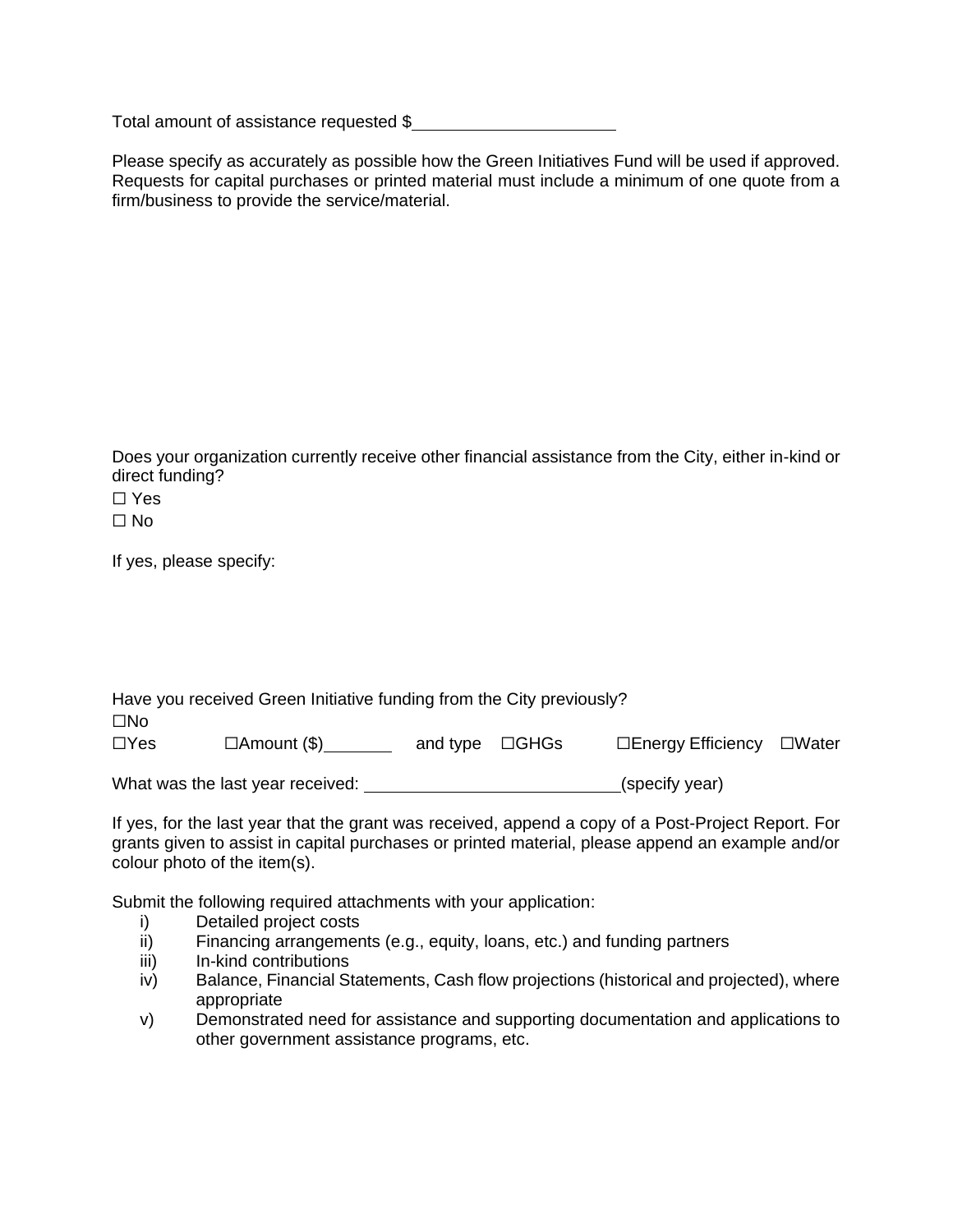Total amount of assistance requested \$

Please specify as accurately as possible how the Green Initiatives Fund will be used if approved. Requests for capital purchases or printed material must include a minimum of one quote from a firm/business to provide the service/material.

Does your organization currently receive other financial assistance from the City, either in-kind or direct funding?

☐ Yes  $\Box$  No

If yes, please specify:

|              | Have you received Green Initiative funding from the City previously? |                      |                    |                 |
|--------------|----------------------------------------------------------------------|----------------------|--------------------|-----------------|
| $\square$ No |                                                                      |                      |                    |                 |
| $\Box$ Yes   | $\Box$ Amount (\$)                                                   | and type $\Box$ GHGs | □Energy Efficiency | $\square$ Water |
|              | What was the last year received:                                     |                      | (specify year)     |                 |

If yes, for the last year that the grant was received, append a copy of a Post-Project Report. For grants given to assist in capital purchases or printed material, please append an example and/or colour photo of the item(s).

Submit the following required attachments with your application:

- i) Detailed project costs
- ii) Financing arrangements (e.g., equity, loans, etc.) and funding partners
- iii) In-kind contributions
- iv) Balance, Financial Statements, Cash flow projections (historical and projected), where appropriate
- v) Demonstrated need for assistance and supporting documentation and applications to other government assistance programs, etc.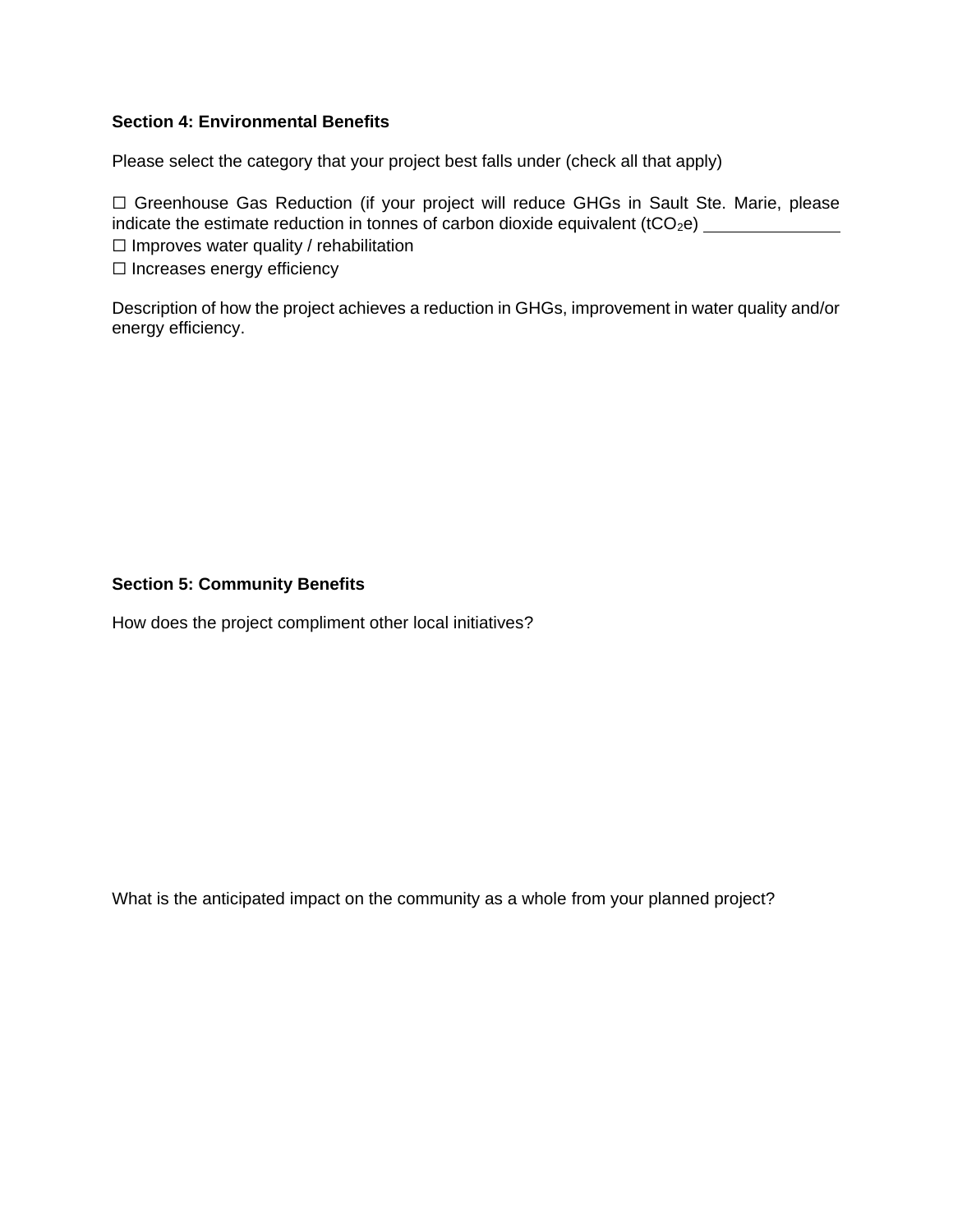# **Section 4: Environmental Benefits**

Please select the category that your project best falls under (check all that apply)

□ Greenhouse Gas Reduction (if your project will reduce GHGs in Sault Ste. Marie, please indicate the estimate reduction in tonnes of carbon dioxide equivalent (tCO2e)  $\Box$  Improves water quality / rehabilitation

☐ Increases energy efficiency

Description of how the project achieves a reduction in GHGs, improvement in water quality and/or energy efficiency.

## **Section 5: Community Benefits**

How does the project compliment other local initiatives?

What is the anticipated impact on the community as a whole from your planned project?